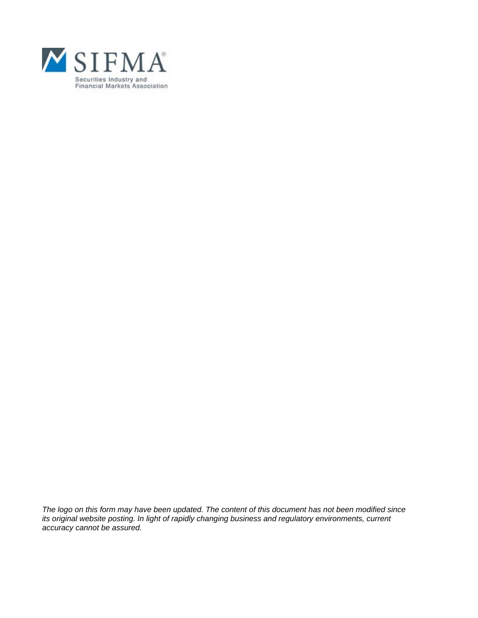

*The logo on this form may have been updated. The content of this document has not been modified since its original website posting. In light of rapidly changing business and regulatory environments, current accuracy cannot be assured.*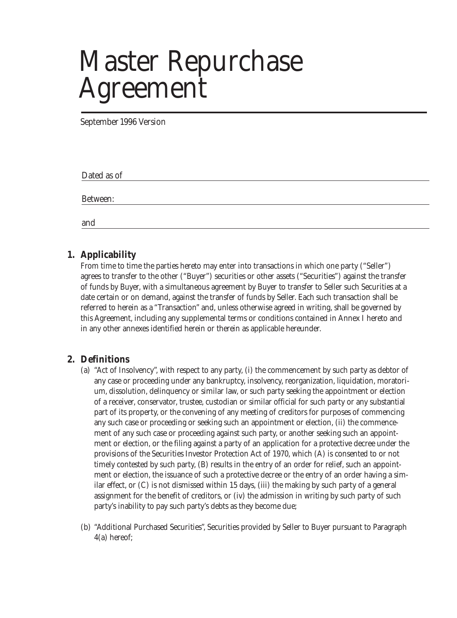# Master Repurchase Agreement

September 1996 Version

| Dated as of |  |  |  |
|-------------|--|--|--|
| Between:    |  |  |  |
|             |  |  |  |
| and         |  |  |  |

# **1. Applicability**

From time to time the parties hereto may enter into transactions in which one party ("Seller") agrees to transfer to the other ("Buyer") securities or other assets ("Securities") against the transfer of funds by Buyer, with a simultaneous agreement by Buyer to transfer to Seller such Securities at a date certain or on demand, against the transfer of funds by Seller. Each such transaction shall be referred to herein as a "Transaction" and, unless otherwise agreed in writing, shall be governed by this Agreement, including any supplemental terms or conditions contained in Annex I hereto and in any other annexes identified herein or therein as applicable hereunder.

# **2. Definitions**

- (a) "Act of Insolvency", with respect to any party, (i) the commencement by such party as debtor of any case or proceeding under any bankruptcy, insolvency, reorganization, liquidation, moratorium, dissolution, delinquency or similar law, or such party seeking the appointment or election of a receiver, conservator, trustee, custodian or similar official for such party or any substantial part of its property, or the convening of any meeting of creditors for purposes of commencing any such case or proceeding or seeking such an appointment or election, (ii) the commencement of any such case or proceeding against such party, or another seeking such an appointment or election, or the filing against a party of an application for a protective decree under the provisions of the Securities Investor Protection Act of 1970, which (A) is consented to or not timely contested by such party, (B) results in the entry of an order for relief, such an appointment or election, the issuance of such a protective decree or the entry of an order having a similar effect, or (C) is not dismissed within 15 days, (iii) the making by such party of a general assignment for the benefit of creditors, or (iv) the admission in writing by such party of such party's inability to pay such party's debts as they become due;
- (b) "Additional Purchased Securities", Securities provided by Seller to Buyer pursuant to Paragraph 4(a) hereof;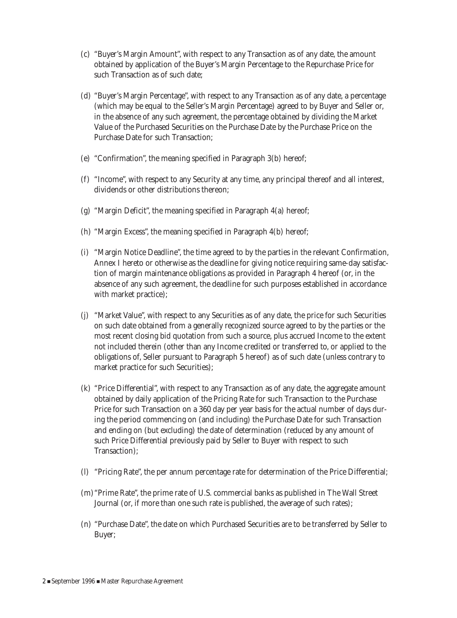- (c) "Buyer's Margin Amount", with respect to any Transaction as of any date, the amount obtained by application of the Buyer's Margin Percentage to the Repurchase Price for such Transaction as of such date;
- (d) "Buyer's Margin Percentage", with respect to any Transaction as of any date, a percentage (which may be equal to the Seller's Margin Percentage) agreed to by Buyer and Seller or, in the absence of any such agreement, the percentage obtained by dividing the Market Value of the Purchased Securities on the Purchase Date by the Purchase Price on the Purchase Date for such Transaction;
- (e) "Confirmation", the meaning specified in Paragraph 3(b) hereof;
- (f) "Income", with respect to any Security at any time, any principal thereof and all interest, dividends or other distributions thereon;
- (g) "Margin Deficit", the meaning specified in Paragraph 4(a) hereof;
- (h) "Margin Excess", the meaning specified in Paragraph 4(b) hereof;
- (i) "Margin Notice Deadline", the time agreed to by the parties in the relevant Confirmation, Annex I hereto or otherwise as the deadline for giving notice requiring same-day satisfaction of margin maintenance obligations as provided in Paragraph 4 hereof (or, in the absence of any such agreement, the deadline for such purposes established in accordance with market practice);
- (j) "Market Value", with respect to any Securities as of any date, the price for such Securities on such date obtained from a generally recognized source agreed to by the parties or the most recent closing bid quotation from such a source, plus accrued Income to the extent not included therein (other than any Income credited or transferred to, or applied to the obligations of, Seller pursuant to Paragraph 5 hereof) as of such date (unless contrary to market practice for such Securities);
- (k) "Price Differential", with respect to any Transaction as of any date, the aggregate amount obtained by daily application of the Pricing Rate for such Transaction to the Purchase Price for such Transaction on a 360 day per year basis for the actual number of days during the period commencing on (and including) the Purchase Date for such Transaction and ending on (but excluding) the date of determination (reduced by any amount of such Price Differential previously paid by Seller to Buyer with respect to such Transaction);
- (l) "Pricing Rate", the per annum percentage rate for determination of the Price Differential;
- (m)"Prime Rate", the prime rate of U.S. commercial banks as published in The Wall Street Journal (or, if more than one such rate is published, the average of such rates);
- (n) "Purchase Date", the date on which Purchased Securities are to be transferred by Seller to Buyer;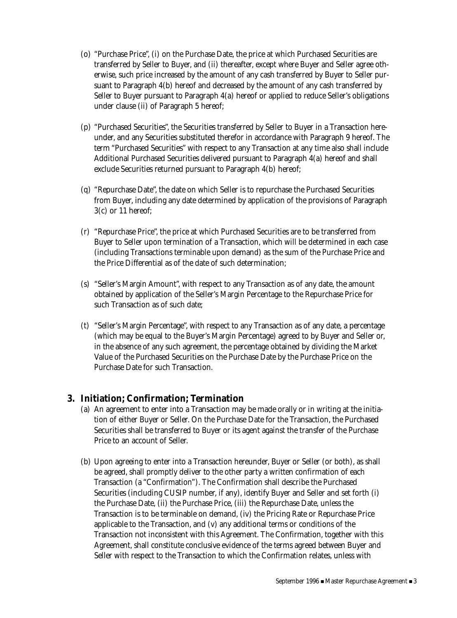- (o) "Purchase Price", (i) on the Purchase Date, the price at which Purchased Securities are transferred by Seller to Buyer, and (ii) thereafter, except where Buyer and Seller agree otherwise, such price increased by the amount of any cash transferred by Buyer to Seller pursuant to Paragraph 4(b) hereof and decreased by the amount of any cash transferred by Seller to Buyer pursuant to Paragraph 4(a) hereof or applied to reduce Seller's obligations under clause (ii) of Paragraph 5 hereof;
- (p) "Purchased Securities", the Securities transferred by Seller to Buyer in a Transaction hereunder, and any Securities substituted therefor in accordance with Paragraph 9 hereof. The term "Purchased Securities" with respect to any Transaction at any time also shall include Additional Purchased Securities delivered pursuant to Paragraph 4(a) hereof and shall exclude Securities returned pursuant to Paragraph 4(b) hereof;
- (q) "Repurchase Date", the date on which Seller is to repurchase the Purchased Securities from Buyer, including any date determined by application of the provisions of Paragraph 3(c) or 11 hereof;
- (r) "Repurchase Price", the price at which Purchased Securities are to be transferred from Buyer to Seller upon termination of a Transaction, which will be determined in each case (including Transactions terminable upon demand) as the sum of the Purchase Price and the Price Differential as of the date of such determination;
- (s) "Seller's Margin Amount", with respect to any Transaction as of any date, the amount obtained by application of the Seller's Margin Percentage to the Repurchase Price for such Transaction as of such date;
- (t) "Seller's Margin Percentage", with respect to any Transaction as of any date, a percentage (which may be equal to the Buyer's Margin Percentage) agreed to by Buyer and Seller or, in the absence of any such agreement, the percentage obtained by dividing the Market Value of the Purchased Securities on the Purchase Date by the Purchase Price on the Purchase Date for such Transaction.

## **3. Initiation; Confirmation; Termination**

- (a) An agreement to enter into a Transaction may be made orally or in writing at the initiation of either Buyer or Seller. On the Purchase Date for the Transaction, the Purchased Securities shall be transferred to Buyer or its agent against the transfer of the Purchase Price to an account of Seller.
- (b) Upon agreeing to enter into a Transaction hereunder, Buyer or Seller (or both), as shall be agreed, shall promptly deliver to the other party a written confirmation of each Transaction (a "Confirmation"). The Confirmation shall describe the Purchased Securities (including CUSIP number, if any), identify Buyer and Seller and set forth (i) the Purchase Date, (ii) the Purchase Price, (iii) the Repurchase Date, unless the Transaction is to be terminable on demand, (iv) the Pricing Rate or Repurchase Price applicable to the Transaction, and (v) any additional terms or conditions of the Transaction not inconsistent with this Agreement. The Confirmation, together with this Agreement, shall constitute conclusive evidence of the terms agreed between Buyer and Seller with respect to the Transaction to which the Confirmation relates, unless with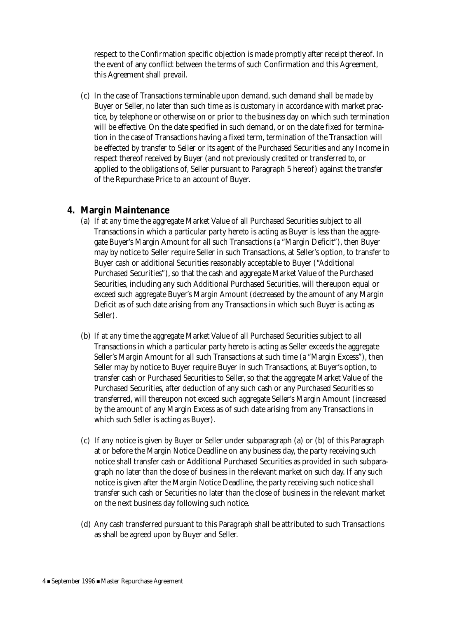respect to the Confirmation specific objection is made promptly after receipt thereof. In the event of any conflict between the terms of such Confirmation and this Agreement, this Agreement shall prevail.

(c) In the case of Transactions terminable upon demand, such demand shall be made by Buyer or Seller, no later than such time as is customary in accordance with market practice, by telephone or otherwise on or prior to the business day on which such termination will be effective. On the date specified in such demand, or on the date fixed for termination in the case of Transactions having a fixed term, termination of the Transaction will be effected by transfer to Seller or its agent of the Purchased Securities and any Income in respect thereof received by Buyer (and not previously credited or transferred to, or applied to the obligations of, Seller pursuant to Paragraph 5 hereof) against the transfer of the Repurchase Price to an account of Buyer.

## **4. Margin Maintenance**

- (a) If at any time the aggregate Market Value of all Purchased Securities subject to all Transactions in which a particular party hereto is acting as Buyer is less than the aggregate Buyer's Margin Amount for all such Transactions (a "Margin Deficit"), then Buyer may by notice to Seller require Seller in such Transactions, at Seller's option, to transfer to Buyer cash or additional Securities reasonably acceptable to Buyer ("Additional Purchased Securities"), so that the cash and aggregate Market Value of the Purchased Securities, including any such Additional Purchased Securities, will thereupon equal or exceed such aggregate Buyer's Margin Amount (decreased by the amount of any Margin Deficit as of such date arising from any Transactions in which such Buyer is acting as Seller).
- (b) If at any time the aggregate Market Value of all Purchased Securities subject to all Transactions in which a particular party hereto is acting as Seller exceeds the aggregate Seller's Margin Amount for all such Transactions at such time (a "Margin Excess"), then Seller may by notice to Buyer require Buyer in such Transactions, at Buyer's option, to transfer cash or Purchased Securities to Seller, so that the aggregate Market Value of the Purchased Securities, after deduction of any such cash or any Purchased Securities so transferred, will thereupon not exceed such aggregate Seller's Margin Amount (increased by the amount of any Margin Excess as of such date arising from any Transactions in which such Seller is acting as Buyer).
- (c) If any notice is given by Buyer or Seller under subparagraph (a) or (b) of this Paragraph at or before the Margin Notice Deadline on any business day, the party receiving such notice shall transfer cash or Additional Purchased Securities as provided in such subparagraph no later than the close of business in the relevant market on such day. If any such notice is given after the Margin Notice Deadline, the party receiving such notice shall transfer such cash or Securities no later than the close of business in the relevant market on the next business day following such notice.
- (d) Any cash transferred pursuant to this Paragraph shall be attributed to such Transactions as shall be agreed upon by Buyer and Seller.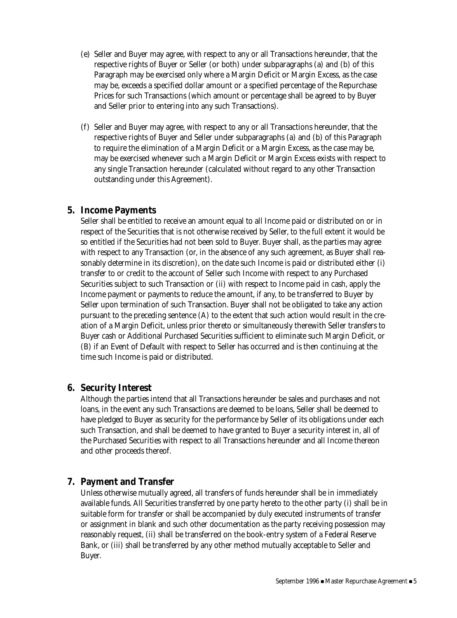- (e) Seller and Buyer may agree, with respect to any or all Transactions hereunder, that the respective rights of Buyer or Seller (or both) under subparagraphs (a) and (b) of this Paragraph may be exercised only where a Margin Deficit or Margin Excess, as the case may be, exceeds a specified dollar amount or a specified percentage of the Repurchase Prices for such Transactions (which amount or percentage shall be agreed to by Buyer and Seller prior to entering into any such Transactions).
- (f) Seller and Buyer may agree, with respect to any or all Transactions hereunder, that the respective rights of Buyer and Seller under subparagraphs (a) and (b) of this Paragraph to require the elimination of a Margin Deficit or a Margin Excess, as the case may be, may be exercised whenever such a Margin Deficit or Margin Excess exists with respect to any single Transaction hereunder (calculated without regard to any other Transaction outstanding under this Agreement).

## **5. Income Payments**

Seller shall be entitled to receive an amount equal to all Income paid or distributed on or in respect of the Securities that is not otherwise received by Seller, to the full extent it would be so entitled if the Securities had not been sold to Buyer. Buyer shall, as the parties may agree with respect to any Transaction (or, in the absence of any such agreement, as Buyer shall reasonably determine in its discretion), on the date such Income is paid or distributed either (i) transfer to or credit to the account of Seller such Income with respect to any Purchased Securities subject to such Transaction or (ii) with respect to Income paid in cash, apply the Income payment or payments to reduce the amount, if any, to be transferred to Buyer by Seller upon termination of such Transaction. Buyer shall not be obligated to take any action pursuant to the preceding sentence (A) to the extent that such action would result in the creation of a Margin Deficit, unless prior thereto or simultaneously therewith Seller transfers to Buyer cash or Additional Purchased Securities sufficient to eliminate such Margin Deficit, or (B) if an Event of Default with respect to Seller has occurred and is then continuing at the time such Income is paid or distributed.

## **6. Security Interest**

Although the parties intend that all Transactions hereunder be sales and purchases and not loans, in the event any such Transactions are deemed to be loans, Seller shall be deemed to have pledged to Buyer as security for the performance by Seller of its obligations under each such Transaction, and shall be deemed to have granted to Buyer a security interest in, all of the Purchased Securities with respect to all Transactions hereunder and all Income thereon and other proceeds thereof.

## **7. Payment and Transfer**

Unless otherwise mutually agreed, all transfers of funds hereunder shall be in immediately available funds. All Securities transferred by one party hereto to the other party (i) shall be in suitable form for transfer or shall be accompanied by duly executed instruments of transfer or assignment in blank and such other documentation as the party receiving possession may reasonably request, (ii) shall be transferred on the book-entry system of a Federal Reserve Bank, or (iii) shall be transferred by any other method mutually acceptable to Seller and Buyer.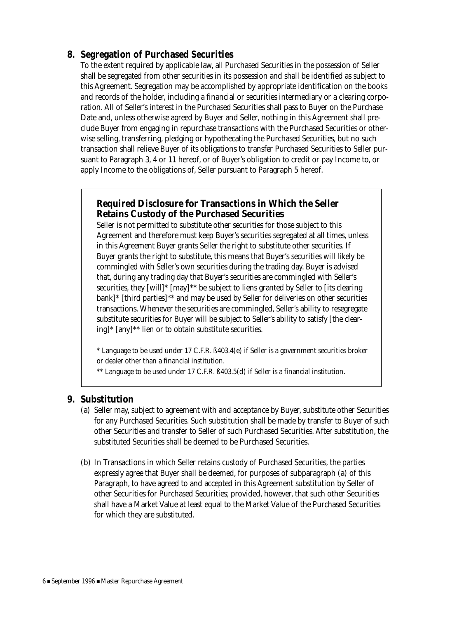## **8. Segregation of Purchased Securities**

To the extent required by applicable law, all Purchased Securities in the possession of Seller shall be segregated from other securities in its possession and shall be identified as subject to this Agreement. Segregation may be accomplished by appropriate identification on the books and records of the holder, including a financial or securities intermediary or a clearing corporation. All of Seller's interest in the Purchased Securities shall pass to Buyer on the Purchase Date and, unless otherwise agreed by Buyer and Seller, nothing in this Agreement shall preclude Buyer from engaging in repurchase transactions with the Purchased Securities or otherwise selling, transferring, pledging or hypothecating the Purchased Securities, but no such transaction shall relieve Buyer of its obligations to transfer Purchased Securities to Seller pursuant to Paragraph 3, 4 or 11 hereof, or of Buyer's obligation to credit or pay Income to, or apply Income to the obligations of, Seller pursuant to Paragraph 5 hereof.

## **Required Disclosure for Transactions in Which the Seller Retains Custody of the Purchased Securities**

Seller is not permitted to substitute other securities for those subject to this Agreement and therefore must keep Buyer's securities segregated at all times, unless in this Agreement Buyer grants Seller the right to substitute other securities. If Buyer grants the right to substitute, this means that Buyer's securities will likely be commingled with Seller's own securities during the trading day. Buyer is advised that, during any trading day that Buyer's securities are commingled with Seller's securities, they [will]\* [may]\*\* be subject to liens granted by Seller to [its clearing bank]\* [third parties]\*\* and may be used by Seller for deliveries on other securities transactions. Whenever the securities are commingled, Seller's ability to resegregate substitute securities for Buyer will be subject to Seller's ability to satisfy [the clearing]\* [any]\*\* lien or to obtain substitute securities.

\* Language to be used under 17 C.F.R. ß403.4(e) if Seller is a government securities broker or dealer other than a financial institution.

\*\* Language to be used under 17 C.F.R. ß403.5(d) if Seller is a financial institution.

## **9. Substitution**

- (a) Seller may, subject to agreement with and acceptance by Buyer, substitute other Securities for any Purchased Securities. Such substitution shall be made by transfer to Buyer of such other Securities and transfer to Seller of such Purchased Securities. After substitution, the substituted Securities shall be deemed to be Purchased Securities.
- (b) In Transactions in which Seller retains custody of Purchased Securities, the parties expressly agree that Buyer shall be deemed, for purposes of subparagraph (a) of this Paragraph, to have agreed to and accepted in this Agreement substitution by Seller of other Securities for Purchased Securities; provided, however, that such other Securities shall have a Market Value at least equal to the Market Value of the Purchased Securities for which they are substituted.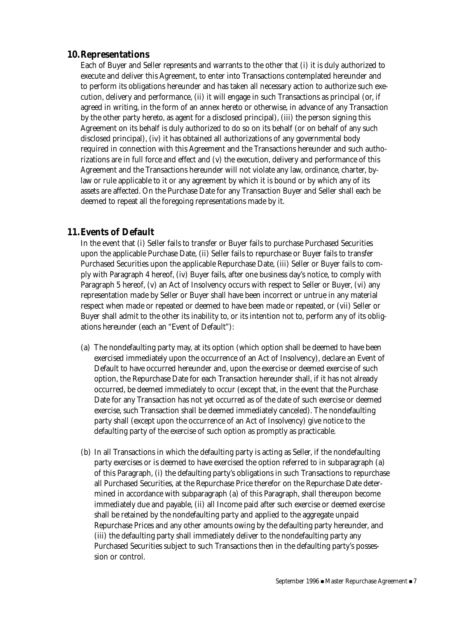## **10.Representations**

Each of Buyer and Seller represents and warrants to the other that (i) it is duly authorized to execute and deliver this Agreement, to enter into Transactions contemplated hereunder and to perform its obligations hereunder and has taken all necessary action to authorize such execution, delivery and performance, (ii) it will engage in such Transactions as principal (or, if agreed in writing, in the form of an annex hereto or otherwise, in advance of any Transaction by the other party hereto, as agent for a disclosed principal), (iii) the person signing this Agreement on its behalf is duly authorized to do so on its behalf (or on behalf of any such disclosed principal), (iv) it has obtained all authorizations of any governmental body required in connection with this Agreement and the Transactions hereunder and such authorizations are in full force and effect and (v) the execution, delivery and performance of this Agreement and the Transactions hereunder will not violate any law, ordinance, charter, bylaw or rule applicable to it or any agreement by which it is bound or by which any of its assets are affected. On the Purchase Date for any Transaction Buyer and Seller shall each be deemed to repeat all the foregoing representations made by it.

#### **11.Events of Default**

In the event that (i) Seller fails to transfer or Buyer fails to purchase Purchased Securities upon the applicable Purchase Date, (ii) Seller fails to repurchase or Buyer fails to transfer Purchased Securities upon the applicable Repurchase Date, (iii) Seller or Buyer fails to comply with Paragraph 4 hereof, (iv) Buyer fails, after one business day's notice, to comply with Paragraph 5 hereof, (v) an Act of Insolvency occurs with respect to Seller or Buyer, (vi) any representation made by Seller or Buyer shall have been incorrect or untrue in any material respect when made or repeated or deemed to have been made or repeated, or (vii) Seller or Buyer shall admit to the other its inability to, or its intention not to, perform any of its obligations hereunder (each an "Event of Default"):

- (a) The nondefaulting party may, at its option (which option shall be deemed to have been exercised immediately upon the occurrence of an Act of Insolvency), declare an Event of Default to have occurred hereunder and, upon the exercise or deemed exercise of such option, the Repurchase Date for each Transaction hereunder shall, if it has not already occurred, be deemed immediately to occur (except that, in the event that the Purchase Date for any Transaction has not yet occurred as of the date of such exercise or deemed exercise, such Transaction shall be deemed immediately canceled). The nondefaulting party shall (except upon the occurrence of an Act of Insolvency) give notice to the defaulting party of the exercise of such option as promptly as practicable.
- (b) In all Transactions in which the defaulting party is acting as Seller, if the nondefaulting party exercises or is deemed to have exercised the option referred to in subparagraph (a) of this Paragraph, (i) the defaulting party's obligations in such Transactions to repurchase all Purchased Securities, at the Repurchase Price therefor on the Repurchase Date determined in accordance with subparagraph (a) of this Paragraph, shall thereupon become immediately due and payable, (ii) all Income paid after such exercise or deemed exercise shall be retained by the nondefaulting party and applied to the aggregate unpaid Repurchase Prices and any other amounts owing by the defaulting party hereunder, and (iii) the defaulting party shall immediately deliver to the nondefaulting party any Purchased Securities subject to such Transactions then in the defaulting party's possession or control.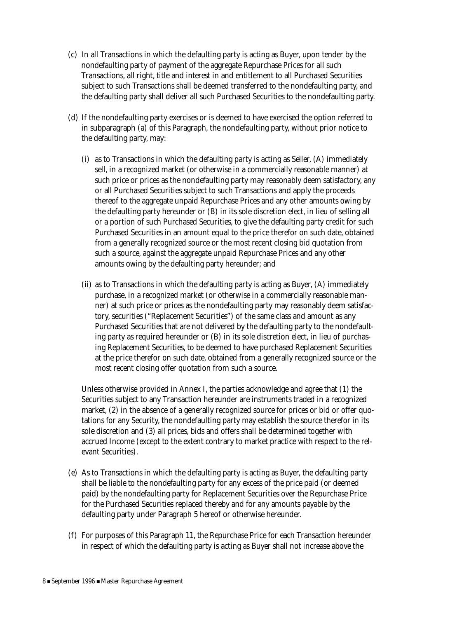- (c) In all Transactions in which the defaulting party is acting as Buyer, upon tender by the nondefaulting party of payment of the aggregate Repurchase Prices for all such Transactions, all right, title and interest in and entitlement to all Purchased Securities subject to such Transactions shall be deemed transferred to the nondefaulting party, and the defaulting party shall deliver all such Purchased Securities to the nondefaulting party.
- (d) If the nondefaulting party exercises or is deemed to have exercised the option referred to in subparagraph (a) of this Paragraph, the nondefaulting party, without prior notice to the defaulting party, may:
	- (i) as to Transactions in which the defaulting party is acting as Seller, (A) immediately sell, in a recognized market (or otherwise in a commercially reasonable manner) at such price or prices as the nondefaulting party may reasonably deem satisfactory, any or all Purchased Securities subject to such Transactions and apply the proceeds thereof to the aggregate unpaid Repurchase Prices and any other amounts owing by the defaulting party hereunder or (B) in its sole discretion elect, in lieu of selling all or a portion of such Purchased Securities, to give the defaulting party credit for such Purchased Securities in an amount equal to the price therefor on such date, obtained from a generally recognized source or the most recent closing bid quotation from such a source, against the aggregate unpaid Repurchase Prices and any other amounts owing by the defaulting party hereunder; and
	- (ii) as to Transactions in which the defaulting party is acting as Buyer, (A) immediately purchase, in a recognized market (or otherwise in a commercially reasonable manner) at such price or prices as the nondefaulting party may reasonably deem satisfactory, securities ("Replacement Securities") of the same class and amount as any Purchased Securities that are not delivered by the defaulting party to the nondefaulting party as required hereunder or (B) in its sole discretion elect, in lieu of purchasing Replacement Securities, to be deemed to have purchased Replacement Securities at the price therefor on such date, obtained from a generally recognized source or the most recent closing offer quotation from such a source.

Unless otherwise provided in Annex I, the parties acknowledge and agree that (1) the Securities subject to any Transaction hereunder are instruments traded in a recognized market, (2) in the absence of a generally recognized source for prices or bid or offer quotations for any Security, the nondefaulting party may establish the source therefor in its sole discretion and (3) all prices, bids and offers shall be determined together with accrued Income (except to the extent contrary to market practice with respect to the relevant Securities).

- (e) As to Transactions in which the defaulting party is acting as Buyer, the defaulting party shall be liable to the nondefaulting party for any excess of the price paid (or deemed paid) by the nondefaulting party for Replacement Securities over the Repurchase Price for the Purchased Securities replaced thereby and for any amounts payable by the defaulting party under Paragraph 5 hereof or otherwise hereunder.
- (f) For purposes of this Paragraph 11, the Repurchase Price for each Transaction hereunder in respect of which the defaulting party is acting as Buyer shall not increase above the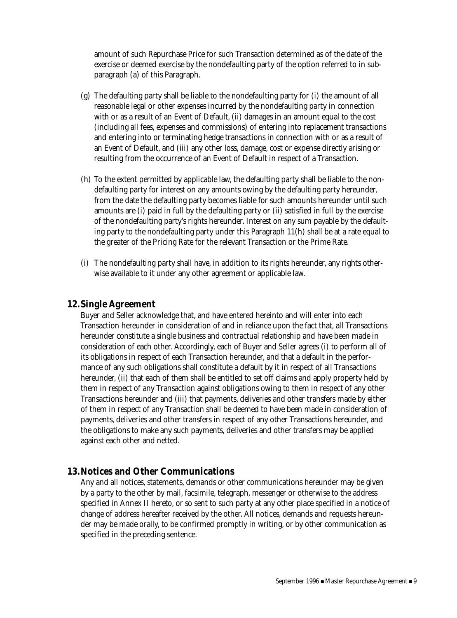amount of such Repurchase Price for such Transaction determined as of the date of the exercise or deemed exercise by the nondefaulting party of the option referred to in subparagraph (a) of this Paragraph.

- (g) The defaulting party shall be liable to the nondefaulting party for (i) the amount of all reasonable legal or other expenses incurred by the nondefaulting party in connection with or as a result of an Event of Default, (ii) damages in an amount equal to the cost (including all fees, expenses and commissions) of entering into replacement transactions and entering into or terminating hedge transactions in connection with or as a result of an Event of Default, and (iii) any other loss, damage, cost or expense directly arising or resulting from the occurrence of an Event of Default in respect of a Transaction.
- (h) To the extent permitted by applicable law, the defaulting party shall be liable to the nondefaulting party for interest on any amounts owing by the defaulting party hereunder, from the date the defaulting party becomes liable for such amounts hereunder until such amounts are (i) paid in full by the defaulting party or (ii) satisfied in full by the exercise of the nondefaulting party's rights hereunder. Interest on any sum payable by the defaulting party to the nondefaulting party under this Paragraph 11(h) shall be at a rate equal to the greater of the Pricing Rate for the relevant Transaction or the Prime Rate.
- (i) The nondefaulting party shall have, in addition to its rights hereunder, any rights otherwise available to it under any other agreement or applicable law.

#### **12.Single Agreement**

Buyer and Seller acknowledge that, and have entered hereinto and will enter into each Transaction hereunder in consideration of and in reliance upon the fact that, all Transactions hereunder constitute a single business and contractual relationship and have been made in consideration of each other. Accordingly, each of Buyer and Seller agrees (i) to perform all of its obligations in respect of each Transaction hereunder, and that a default in the performance of any such obligations shall constitute a default by it in respect of all Transactions hereunder, (ii) that each of them shall be entitled to set off claims and apply property held by them in respect of any Transaction against obligations owing to them in respect of any other Transactions hereunder and (iii) that payments, deliveries and other transfers made by either of them in respect of any Transaction shall be deemed to have been made in consideration of payments, deliveries and other transfers in respect of any other Transactions hereunder, and the obligations to make any such payments, deliveries and other transfers may be applied against each other and netted.

#### **13.Notices and Other Communications**

Any and all notices, statements, demands or other communications hereunder may be given by a party to the other by mail, facsimile, telegraph, messenger or otherwise to the address specified in Annex II hereto, or so sent to such party at any other place specified in a notice of change of address hereafter received by the other. All notices, demands and requests hereunder may be made orally, to be confirmed promptly in writing, or by other communication as specified in the preceding sentence.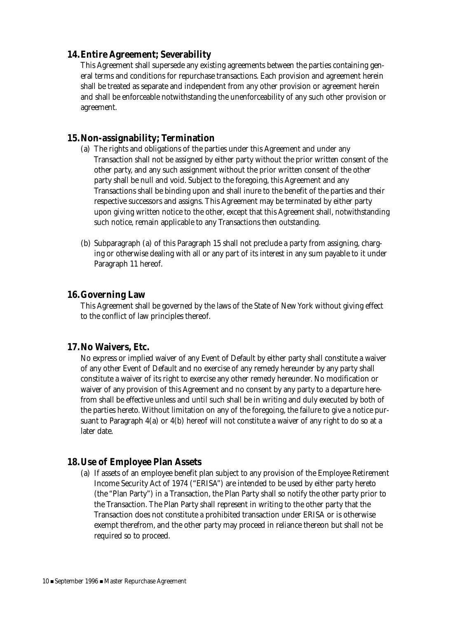## **14.Entire Agreement; Severability**

This Agreement shall supersede any existing agreements between the parties containing general terms and conditions for repurchase transactions. Each provision and agreement herein shall be treated as separate and independent from any other provision or agreement herein and shall be enforceable notwithstanding the unenforceability of any such other provision or agreement.

#### **15.Non-assignability; Termination**

- (a) The rights and obligations of the parties under this Agreement and under any Transaction shall not be assigned by either party without the prior written consent of the other party, and any such assignment without the prior written consent of the other party shall be null and void. Subject to the foregoing, this Agreement and any Transactions shall be binding upon and shall inure to the benefit of the parties and their respective successors and assigns. This Agreement may be terminated by either party upon giving written notice to the other, except that this Agreement shall, notwithstanding such notice, remain applicable to any Transactions then outstanding.
- (b) Subparagraph (a) of this Paragraph 15 shall not preclude a party from assigning, charging or otherwise dealing with all or any part of its interest in any sum payable to it under Paragraph 11 hereof.

#### **16.Governing Law**

This Agreement shall be governed by the laws of the State of New York without giving effect to the conflict of law principles thereof.

#### **17.No Waivers, Etc.**

No express or implied waiver of any Event of Default by either party shall constitute a waiver of any other Event of Default and no exercise of any remedy hereunder by any party shall constitute a waiver of its right to exercise any other remedy hereunder. No modification or waiver of any provision of this Agreement and no consent by any party to a departure herefrom shall be effective unless and until such shall be in writing and duly executed by both of the parties hereto. Without limitation on any of the foregoing, the failure to give a notice pursuant to Paragraph 4(a) or 4(b) hereof will not constitute a waiver of any right to do so at a later date.

#### **18.Use of Employee Plan Assets**

(a) If assets of an employee benefit plan subject to any provision of the Employee Retirement Income Security Act of 1974 ("ERISA") are intended to be used by either party hereto (the "Plan Party") in a Transaction, the Plan Party shall so notify the other party prior to the Transaction. The Plan Party shall represent in writing to the other party that the Transaction does not constitute a prohibited transaction under ERISA or is otherwise exempt therefrom, and the other party may proceed in reliance thereon but shall not be required so to proceed.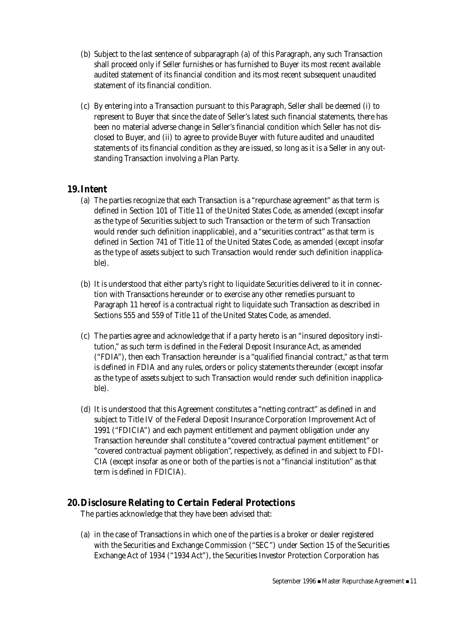- (b) Subject to the last sentence of subparagraph (a) of this Paragraph, any such Transaction shall proceed only if Seller furnishes or has furnished to Buyer its most recent available audited statement of its financial condition and its most recent subsequent unaudited statement of its financial condition.
- (c) By entering into a Transaction pursuant to this Paragraph, Seller shall be deemed (i) to represent to Buyer that since the date of Seller's latest such financial statements, there has been no material adverse change in Seller's financial condition which Seller has not disclosed to Buyer, and (ii) to agree to provide Buyer with future audited and unaudited statements of its financial condition as they are issued, so long as it is a Seller in any outstanding Transaction involving a Plan Party.

## **19.Intent**

- (a) The parties recognize that each Transaction is a "repurchase agreement" as that term is defined in Section 101 of Title 11 of the United States Code, as amended (except insofar as the type of Securities subject to such Transaction or the term of such Transaction would render such definition inapplicable), and a "securities contract" as that term is defined in Section 741 of Title 11 of the United States Code, as amended (except insofar as the type of assets subject to such Transaction would render such definition inapplicable).
- (b) It is understood that either party's right to liquidate Securities delivered to it in connection with Transactions hereunder or to exercise any other remedies pursuant to Paragraph 11 hereof is a contractual right to liquidate such Transaction as described in Sections 555 and 559 of Title 11 of the United States Code, as amended.
- (c) The parties agree and acknowledge that if a party hereto is an "insured depository institution," as such term is defined in the Federal Deposit Insurance Act, as amended ("FDIA"), then each Transaction hereunder is a "qualified financial contract," as that term is defined in FDIA and any rules, orders or policy statements thereunder (except insofar as the type of assets subject to such Transaction would render such definition inapplicable).
- (d) It is understood that this Agreement constitutes a "netting contract" as defined in and subject to Title IV of the Federal Deposit Insurance Corporation Improvement Act of 1991 ("FDICIA") and each payment entitlement and payment obligation under any Transaction hereunder shall constitute a "covered contractual payment entitlement" or "covered contractual payment obligation", respectively, as defined in and subject to FDI-CIA (except insofar as one or both of the parties is not a "financial institution" as that term is defined in FDICIA).

## **20.Disclosure Relating to Certain Federal Protections**

The parties acknowledge that they have been advised that:

(a) in the case of Transactions in which one of the parties is a broker or dealer registered with the Securities and Exchange Commission ("SEC") under Section 15 of the Securities Exchange Act of 1934 ("1934 Act"), the Securities Investor Protection Corporation has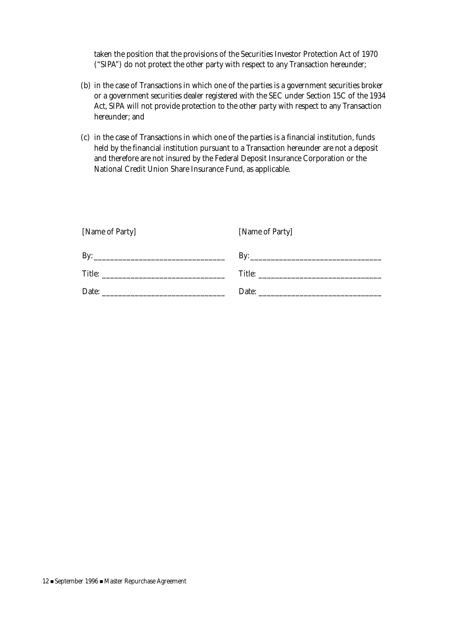taken the position that the provisions of the Securities Investor Protection Act of 1970 ("SIPA") do not protect the other party with respect to any Transaction hereunder;

- (b) in the case of Transactions in which one of the parties is a government securities broker or a government securities dealer registered with the SEC under Section 15C of the 1934 Act, SIPA will not provide protection to the other party with respect to any Transaction hereunder; and
- (c) in the case of Transactions in which one of the parties is a financial institution, funds held by the financial institution pursuant to a Transaction hereunder are not a deposit and therefore are not insured by the Federal Deposit Insurance Corporation or the National Credit Union Share Insurance Fund, as applicable.

| [Name of Party]           | [Name of Party]     |
|---------------------------|---------------------|
|                           | By: $\qquad \qquad$ |
|                           | Title:              |
| Date: $\frac{1}{2}$ Date: |                     |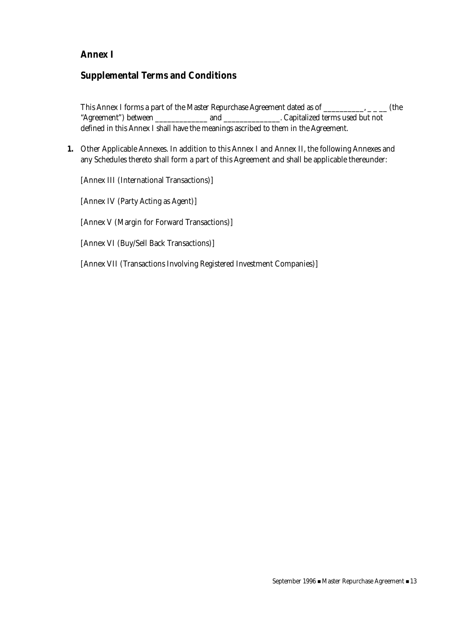# **Annex I**

# **Supplemental Terms and Conditions**

This Annex I forms a part of the Master Repurchase Agreement dated as of  $\frac{1}{\sqrt{1-\frac{1}{n}}}\left| \frac{1}{\sqrt{1-\frac{1}{n}}}\right|$ "Agreement") between \_\_\_\_\_\_\_\_\_\_\_\_\_\_\_\_\_ and \_\_\_\_\_\_\_\_\_\_\_\_\_\_\_. Capitalized terms used but not defined in this Annex I shall have the meanings ascribed to them in the Agreement.

**1.** Other Applicable Annexes. In addition to this Annex I and Annex II, the following Annexes and any Schedules thereto shall form a part of this Agreement and shall be applicable thereunder:

[Annex III (International Transactions)]

[Annex IV (Party Acting as Agent)]

[Annex V (Margin for Forward Transactions)]

[Annex VI (Buy/Sell Back Transactions)]

[Annex VII (Transactions Involving Registered Investment Companies)]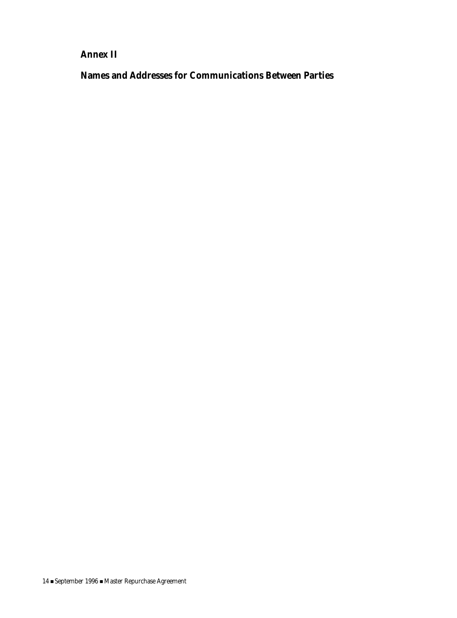# **Annex II**

**Names and Addresses for Communications Between Parties**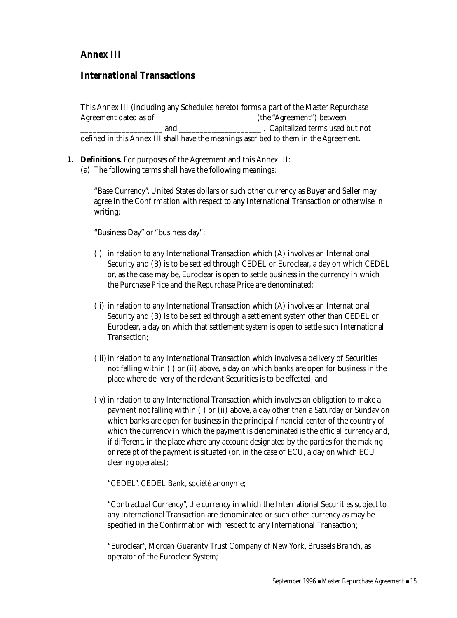# **Annex III**

# **International Transactions**

This Annex III (including any Schedules hereto) forms a part of the Master Repurchase Agreement dated as of \_\_\_\_\_\_\_\_\_\_\_\_\_\_\_\_\_\_\_\_\_\_\_\_ (the "Agreement") between \_\_\_\_\_\_\_\_\_\_\_\_\_\_\_\_\_\_\_\_ and \_\_\_\_\_\_\_\_\_\_\_\_\_\_\_\_\_\_\_\_ . Capitalized terms used but not defined in this Annex III shall have the meanings ascribed to them in the Agreement.

- **1. Definitions.** For purposes of the Agreement and this Annex III:
	- (a) The following terms shall have the following meanings:

"Base Currency", United States dollars or such other currency as Buyer and Seller may agree in the Confirmation with respect to any International Transaction or otherwise in writing;

"Business Day" or "business day":

- (i) in relation to any International Transaction which (A) involves an International Security and (B) is to be settled through CEDEL or Euroclear, a day on which CEDEL or, as the case may be, Euroclear is open to settle business in the currency in which the Purchase Price and the Repurchase Price are denominated;
- (ii) in relation to any International Transaction which (A) involves an International Security and (B) is to be settled through a settlement system other than CEDEL or Euroclear, a day on which that settlement system is open to settle such International Transaction;
- (iii)in relation to any International Transaction which involves a delivery of Securities not falling within (i) or (ii) above, a day on which banks are open for business in the place where delivery of the relevant Securities is to be effected; and
- (iv) in relation to any International Transaction which involves an obligation to make a payment not falling within (i) or (ii) above, a day other than a Saturday or Sunday on which banks are open for business in the principal financial center of the country of which the currency in which the payment is denominated is the official currency and, if different, in the place where any account designated by the parties for the making or receipt of the payment is situated (or, in the case of ECU, a day on which ECU clearing operates);

"CEDEL", CEDEL Bank, société anonyme;

"Contractual Currency", the currency in which the International Securities subject to any International Transaction are denominated or such other currency as may be specified in the Confirmation with respect to any International Transaction;

"Euroclear", Morgan Guaranty Trust Company of New York, Brussels Branch, as operator of the Euroclear System;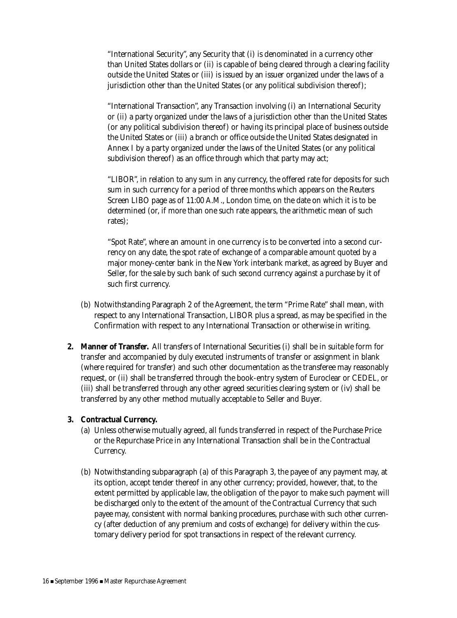"International Security", any Security that (i) is denominated in a currency other than United States dollars or (ii) is capable of being cleared through a clearing facility outside the United States or (iii) is issued by an issuer organized under the laws of a jurisdiction other than the United States (or any political subdivision thereof);

"International Transaction", any Transaction involving (i) an International Security or (ii) a party organized under the laws of a jurisdiction other than the United States (or any political subdivision thereof) or having its principal place of business outside the United States or (iii) a branch or office outside the United States designated in Annex I by a party organized under the laws of the United States (or any political subdivision thereof) as an office through which that party may act;

"LIBOR", in relation to any sum in any currency, the offered rate for deposits for such sum in such currency for a period of three months which appears on the Reuters Screen LIBO page as of 11:00 A.M., London time, on the date on which it is to be determined (or, if more than one such rate appears, the arithmetic mean of such rates);

"Spot Rate", where an amount in one currency is to be converted into a second currency on any date, the spot rate of exchange of a comparable amount quoted by a major money-center bank in the New York interbank market, as agreed by Buyer and Seller, for the sale by such bank of such second currency against a purchase by it of such first currency.

- (b) Notwithstanding Paragraph 2 of the Agreement, the term "Prime Rate" shall mean, with respect to any International Transaction, LIBOR plus a spread, as may be specified in the Confirmation with respect to any International Transaction or otherwise in writing.
- **2. Manner of Transfer.** All transfers of International Securities (i) shall be in suitable form for transfer and accompanied by duly executed instruments of transfer or assignment in blank (where required for transfer) and such other documentation as the transferee may reasonably request, or (ii) shall be transferred through the book-entry system of Euroclear or CEDEL, or (iii) shall be transferred through any other agreed securities clearing system or (iv) shall be transferred by any other method mutually acceptable to Seller and Buyer.

#### **3. Contractual Currency.**

- (a) Unless otherwise mutually agreed, all funds transferred in respect of the Purchase Price or the Repurchase Price in any International Transaction shall be in the Contractual Currency.
- (b) Notwithstanding subparagraph (a) of this Paragraph 3, the payee of any payment may, at its option, accept tender thereof in any other currency; provided, however, that, to the extent permitted by applicable law, the obligation of the payor to make such payment will be discharged only to the extent of the amount of the Contractual Currency that such payee may, consistent with normal banking procedures, purchase with such other currency (after deduction of any premium and costs of exchange) for delivery within the customary delivery period for spot transactions in respect of the relevant currency.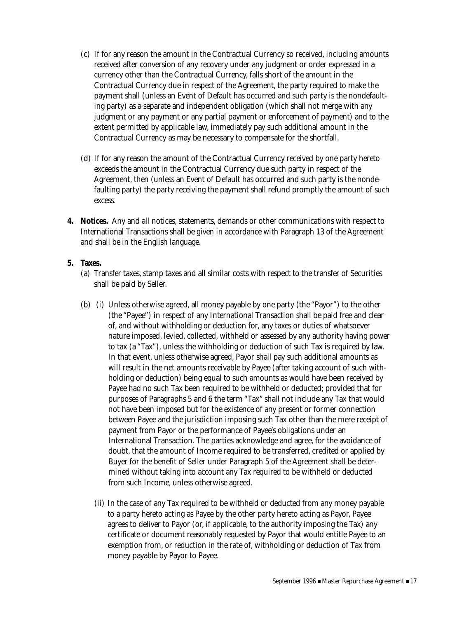- (c) If for any reason the amount in the Contractual Currency so received, including amounts received after conversion of any recovery under any judgment or order expressed in a currency other than the Contractual Currency, falls short of the amount in the Contractual Currency due in respect of the Agreement, the party required to make the payment shall (unless an Event of Default has occurred and such party is the nondefaulting party) as a separate and independent obligation (which shall not merge with any judgment or any payment or any partial payment or enforcement of payment) and to the extent permitted by applicable law, immediately pay such additional amount in the Contractual Currency as may be necessary to compensate for the shortfall.
- (d) If for any reason the amount of the Contractual Currency received by one party hereto exceeds the amount in the Contractual Currency due such party in respect of the Agreement, then (unless an Event of Default has occurred and such party is the nondefaulting party) the party receiving the payment shall refund promptly the amount of such excess.
- **4. Notices.** Any and all notices, statements, demands or other communications with respect to International Transactions shall be given in accordance with Paragraph 13 of the Agreement and shall be in the English language.

#### **5. Taxes.**

- (a) Transfer taxes, stamp taxes and all similar costs with respect to the transfer of Securities shall be paid by Seller.
- (b) (i) Unless otherwise agreed, all money payable by one party (the "Payor") to the other (the "Payee") in respect of any International Transaction shall be paid free and clear of, and without withholding or deduction for, any taxes or duties of whatsoever nature imposed, levied, collected, withheld or assessed by any authority having power to tax (a "Tax"), unless the withholding or deduction of such Tax is required by law. In that event, unless otherwise agreed, Payor shall pay such additional amounts as will result in the net amounts receivable by Payee (after taking account of such withholding or deduction) being equal to such amounts as would have been received by Payee had no such Tax been required to be withheld or deducted; provided that for purposes of Paragraphs 5 and 6 the term "Tax" shall not include any Tax that would not have been imposed but for the existence of any present or former connection between Payee and the jurisdiction imposing such Tax other than the mere receipt of payment from Payor or the performance of Payee's obligations under an International Transaction. The parties acknowledge and agree, for the avoidance of doubt, that the amount of Income required to be transferred, credited or applied by Buyer for the benefit of Seller under Paragraph 5 of the Agreement shall be determined without taking into account any Tax required to be withheld or deducted from such Income, unless otherwise agreed.
	- (ii) In the case of any Tax required to be withheld or deducted from any money payable to a party hereto acting as Payee by the other party hereto acting as Payor, Payee agrees to deliver to Payor (or, if applicable, to the authority imposing the Tax) any certificate or document reasonably requested by Payor that would entitle Payee to an exemption from, or reduction in the rate of, withholding or deduction of Tax from money payable by Payor to Payee.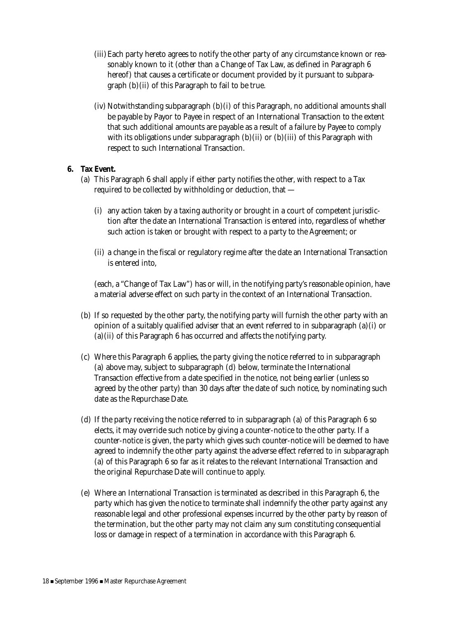- (iii)Each party hereto agrees to notify the other party of any circumstance known or reasonably known to it (other than a Change of Tax Law, as defined in Paragraph 6 hereof) that causes a certificate or document provided by it pursuant to subparagraph (b)(ii) of this Paragraph to fail to be true.
- (iv) Notwithstanding subparagraph (b)(i) of this Paragraph, no additional amounts shall be payable by Payor to Payee in respect of an International Transaction to the extent that such additional amounts are payable as a result of a failure by Payee to comply with its obligations under subparagraph (b)(ii) or (b)(iii) of this Paragraph with respect to such International Transaction.

#### **6. Tax Event.**

- (a) This Paragraph 6 shall apply if either party notifies the other, with respect to a Tax required to be collected by withholding or deduction, that —
	- (i) any action taken by a taxing authority or brought in a court of competent jurisdiction after the date an International Transaction is entered into, regardless of whether such action is taken or brought with respect to a party to the Agreement; or
	- (ii) a change in the fiscal or regulatory regime after the date an International Transaction is entered into,

(each, a "Change of Tax Law") has or will, in the notifying party's reasonable opinion, have a material adverse effect on such party in the context of an International Transaction.

- (b) If so requested by the other party, the notifying party will furnish the other party with an opinion of a suitably qualified adviser that an event referred to in subparagraph (a)(i) or (a)(ii) of this Paragraph 6 has occurred and affects the notifying party.
- (c) Where this Paragraph 6 applies, the party giving the notice referred to in subparagraph (a) above may, subject to subparagraph (d) below, terminate the International Transaction effective from a date specified in the notice, not being earlier (unless so agreed by the other party) than 30 days after the date of such notice, by nominating such date as the Repurchase Date.
- (d) If the party receiving the notice referred to in subparagraph (a) of this Paragraph 6 so elects, it may override such notice by giving a counter-notice to the other party. If a counter-notice is given, the party which gives such counter-notice will be deemed to have agreed to indemnify the other party against the adverse effect referred to in subparagraph (a) of this Paragraph 6 so far as it relates to the relevant International Transaction and the original Repurchase Date will continue to apply.
- (e) Where an International Transaction is terminated as described in this Paragraph 6, the party which has given the notice to terminate shall indemnify the other party against any reasonable legal and other professional expenses incurred by the other party by reason of the termination, but the other party may not claim any sum constituting consequential loss or damage in respect of a termination in accordance with this Paragraph 6.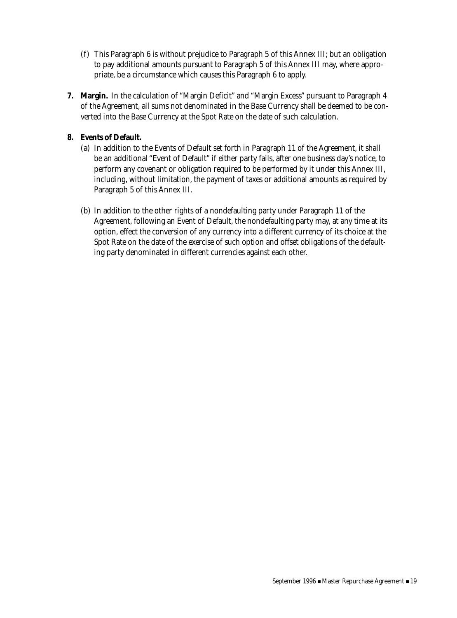- (f) This Paragraph 6 is without prejudice to Paragraph 5 of this Annex III; but an obligation to pay additional amounts pursuant to Paragraph 5 of this Annex III may, where appropriate, be a circumstance which causes this Paragraph 6 to apply.
- **7. Margin.** In the calculation of "Margin Deficit" and "Margin Excess" pursuant to Paragraph 4 of the Agreement, all sums not denominated in the Base Currency shall be deemed to be converted into the Base Currency at the Spot Rate on the date of such calculation.

## **8. Events of Default.**

- (a) In addition to the Events of Default set forth in Paragraph 11 of the Agreement, it shall be an additional "Event of Default" if either party fails, after one business day's notice, to perform any covenant or obligation required to be performed by it under this Annex III, including, without limitation, the payment of taxes or additional amounts as required by Paragraph 5 of this Annex III.
- (b) In addition to the other rights of a nondefaulting party under Paragraph 11 of the Agreement, following an Event of Default, the nondefaulting party may, at any time at its option, effect the conversion of any currency into a different currency of its choice at the Spot Rate on the date of the exercise of such option and offset obligations of the defaulting party denominated in different currencies against each other.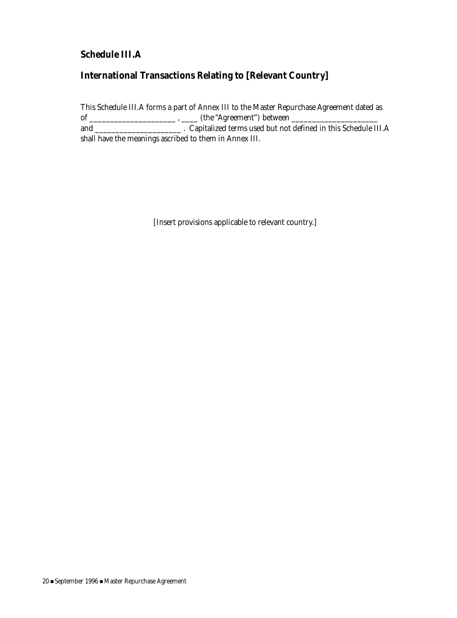# **Schedule III.A**

# **International Transactions Relating to [Relevant Country]**

This Schedule III.A forms a part of Annex III to the Master Repurchase Agreement dated as of \_\_\_\_\_\_\_\_\_\_\_\_\_\_\_\_\_\_\_\_\_ , \_\_\_\_ (the "Agreement") between \_\_\_\_\_\_\_\_\_\_\_\_\_\_\_\_\_\_\_\_\_ and \_\_\_\_\_\_\_\_\_\_\_\_\_\_\_\_\_\_\_\_\_ . Capitalized terms used but not defined in this Schedule III.A shall have the meanings ascribed to them in Annex III.

[Insert provisions applicable to relevant country.]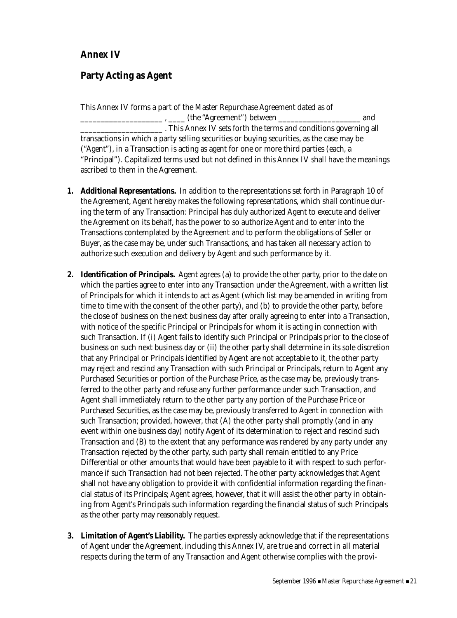# **Annex IV**

# **Party Acting as Agent**

This Annex IV forms a part of the Master Repurchase Agreement dated as of \_\_\_\_\_\_\_\_\_\_\_\_\_\_\_\_\_\_\_\_ , \_\_\_\_ (the "Agreement") between \_\_\_\_\_\_\_\_\_\_\_\_\_\_\_\_\_\_\_\_ and \_\_\_\_\_\_\_\_\_\_\_\_\_\_\_\_\_\_\_\_ . This Annex IV sets forth the terms and conditions governing all transactions in which a party selling securities or buying securities, as the case may be ("Agent"), in a Transaction is acting as agent for one or more third parties (each, a "Principal"). Capitalized terms used but not defined in this Annex IV shall have the meanings ascribed to them in the Agreement.

- **1. Additional Representations.** In addition to the representations set forth in Paragraph 10 of the Agreement, Agent hereby makes the following representations, which shall continue during the term of any Transaction: Principal has duly authorized Agent to execute and deliver the Agreement on its behalf, has the power to so authorize Agent and to enter into the Transactions contemplated by the Agreement and to perform the obligations of Seller or Buyer, as the case may be, under such Transactions, and has taken all necessary action to authorize such execution and delivery by Agent and such performance by it.
- **2. Identification of Principals.** Agent agrees (a) to provide the other party, prior to the date on which the parties agree to enter into any Transaction under the Agreement, with a written list of Principals for which it intends to act as Agent (which list may be amended in writing from time to time with the consent of the other party), and (b) to provide the other party, before the close of business on the next business day after orally agreeing to enter into a Transaction, with notice of the specific Principal or Principals for whom it is acting in connection with such Transaction. If (i) Agent fails to identify such Principal or Principals prior to the close of business on such next business day or (ii) the other party shall determine in its sole discretion that any Principal or Principals identified by Agent are not acceptable to it, the other party may reject and rescind any Transaction with such Principal or Principals, return to Agent any Purchased Securities or portion of the Purchase Price, as the case may be, previously transferred to the other party and refuse any further performance under such Transaction, and Agent shall immediately return to the other party any portion of the Purchase Price or Purchased Securities, as the case may be, previously transferred to Agent in connection with such Transaction; provided, however, that (A) the other party shall promptly (and in any event within one business day) notify Agent of its determination to reject and rescind such Transaction and (B) to the extent that any performance was rendered by any party under any Transaction rejected by the other party, such party shall remain entitled to any Price Differential or other amounts that would have been payable to it with respect to such performance if such Transaction had not been rejected. The other party acknowledges that Agent shall not have any obligation to provide it with confidential information regarding the financial status of its Principals; Agent agrees, however, that it will assist the other party in obtaining from Agent's Principals such information regarding the financial status of such Principals as the other party may reasonably request.
- **3. Limitation of Agent's Liability.** The parties expressly acknowledge that if the representations of Agent under the Agreement, including this Annex IV, are true and correct in all material respects during the term of any Transaction and Agent otherwise complies with the provi-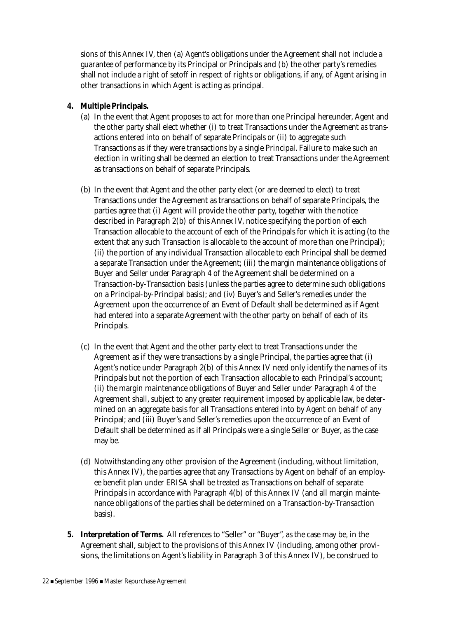sions of this Annex IV, then (a) Agent's obligations under the Agreement shall not include a guarantee of performance by its Principal or Principals and (b) the other party's remedies shall not include a right of setoff in respect of rights or obligations, if any, of Agent arising in other transactions in which Agent is acting as principal.

## **4. Multiple Principals.**

- (a) In the event that Agent proposes to act for more than one Principal hereunder, Agent and the other party shall elect whether (i) to treat Transactions under the Agreement as transactions entered into on behalf of separate Principals or (ii) to aggregate such Transactions as if they were transactions by a single Principal. Failure to make such an election in writing shall be deemed an election to treat Transactions under the Agreement as transactions on behalf of separate Principals.
- (b) In the event that Agent and the other party elect (or are deemed to elect) to treat Transactions under the Agreement as transactions on behalf of separate Principals, the parties agree that (i) Agent will provide the other party, together with the notice described in Paragraph 2(b) of this Annex IV, notice specifying the portion of each Transaction allocable to the account of each of the Principals for which it is acting (to the extent that any such Transaction is allocable to the account of more than one Principal); (ii) the portion of any individual Transaction allocable to each Principal shall be deemed a separate Transaction under the Agreement; (iii) the margin maintenance obligations of Buyer and Seller under Paragraph 4 of the Agreement shall be determined on a Transaction-by-Transaction basis (unless the parties agree to determine such obligations on a Principal-by-Principal basis); and (iv) Buyer's and Seller's remedies under the Agreement upon the occurrence of an Event of Default shall be determined as if Agent had entered into a separate Agreement with the other party on behalf of each of its Principals.
- (c) In the event that Agent and the other party elect to treat Transactions under the Agreement as if they were transactions by a single Principal, the parties agree that (i) Agent's notice under Paragraph 2(b) of this Annex IV need only identify the names of its Principals but not the portion of each Transaction allocable to each Principal's account; (ii) the margin maintenance obligations of Buyer and Seller under Paragraph 4 of the Agreement shall, subject to any greater requirement imposed by applicable law, be determined on an aggregate basis for all Transactions entered into by Agent on behalf of any Principal; and (iii) Buyer's and Seller's remedies upon the occurrence of an Event of Default shall be determined as if all Principals were a single Seller or Buyer, as the case may be.
- (d) Notwithstanding any other provision of the Agreement (including, without limitation, this Annex IV), the parties agree that any Transactions by Agent on behalf of an employee benefit plan under ERISA shall be treated as Transactions on behalf of separate Principals in accordance with Paragraph 4(b) of this Annex IV (and all margin maintenance obligations of the parties shall be determined on a Transaction-by-Transaction basis).
- **5. Interpretation of Terms.** All references to "Seller" or "Buyer", as the case may be, in the Agreement shall, subject to the provisions of this Annex IV (including, among other provisions, the limitations on Agent's liability in Paragraph 3 of this Annex IV), be construed to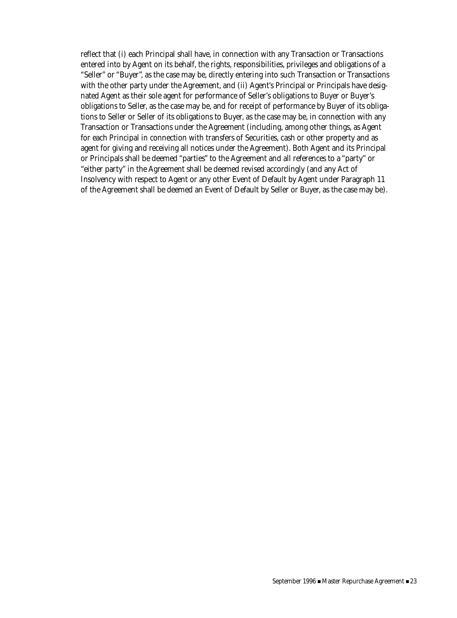reflect that (i) each Principal shall have, in connection with any Transaction or Transactions entered into by Agent on its behalf, the rights, responsibilities, privileges and obligations of a "Seller" or "Buyer", as the case may be, directly entering into such Transaction or Transactions with the other party under the Agreement, and (ii) Agent's Principal or Principals have designated Agent as their sole agent for performance of Seller's obligations to Buyer or Buyer's obligations to Seller, as the case may be, and for receipt of performance by Buyer of its obligations to Seller or Seller of its obligations to Buyer, as the case may be, in connection with any Transaction or Transactions under the Agreement (including, among other things, as Agent for each Principal in connection with transfers of Securities, cash or other property and as agent for giving and receiving all notices under the Agreement). Both Agent and its Principal or Principals shall be deemed "parties" to the Agreement and all references to a "party" or "either party" in the Agreement shall be deemed revised accordingly (and any Act of Insolvency with respect to Agent or any other Event of Default by Agent under Paragraph 11 of the Agreement shall be deemed an Event of Default by Seller or Buyer, as the case may be).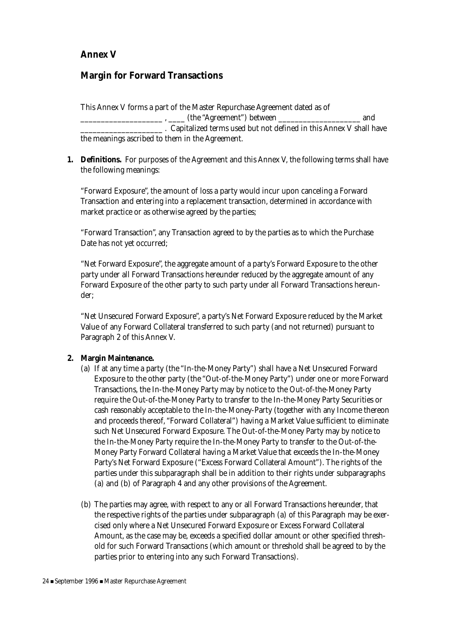# **Annex V**

## **Margin for Forward Transactions**

This Annex V forms a part of the Master Repurchase Agreement dated as of \_\_\_\_\_\_\_\_\_\_\_\_\_\_\_\_\_\_\_\_ , \_\_\_\_ (the "Agreement") between \_\_\_\_\_\_\_\_\_\_\_\_\_\_\_\_\_\_\_\_ and \_\_\_\_\_\_\_\_\_\_\_\_\_\_\_\_\_\_\_\_ . Capitalized terms used but not defined in this Annex V shall have the meanings ascribed to them in the Agreement.

**1. Definitions.** For purposes of the Agreement and this Annex V, the following terms shall have the following meanings:

"Forward Exposure", the amount of loss a party would incur upon canceling a Forward Transaction and entering into a replacement transaction, determined in accordance with market practice or as otherwise agreed by the parties;

"Forward Transaction", any Transaction agreed to by the parties as to which the Purchase Date has not yet occurred;

"Net Forward Exposure", the aggregate amount of a party's Forward Exposure to the other party under all Forward Transactions hereunder reduced by the aggregate amount of any Forward Exposure of the other party to such party under all Forward Transactions hereunder;

"Net Unsecured Forward Exposure", a party's Net Forward Exposure reduced by the Market Value of any Forward Collateral transferred to such party (and not returned) pursuant to Paragraph 2 of this Annex V.

#### **2. Margin Maintenance.**

- (a) If at any time a party (the "In-the-Money Party") shall have a Net Unsecured Forward Exposure to the other party (the "Out-of-the-Money Party") under one or more Forward Transactions, the In-the-Money Party may by notice to the Out-of-the-Money Party require the Out-of-the-Money Party to transfer to the In-the-Money Party Securities or cash reasonably acceptable to the In-the-Money-Party (together with any Income thereon and proceeds thereof, "Forward Collateral") having a Market Value sufficient to eliminate such Net Unsecured Forward Exposure. The Out-of-the-Money Party may by notice to the In-the-Money Party require the In-the-Money Party to transfer to the Out-of-the-Money Party Forward Collateral having a Market Value that exceeds the In-the-Money Party's Net Forward Exposure ("Excess Forward Collateral Amount"). The rights of the parties under this subparagraph shall be in addition to their rights under subparagraphs (a) and (b) of Paragraph 4 and any other provisions of the Agreement.
- (b) The parties may agree, with respect to any or all Forward Transactions hereunder, that the respective rights of the parties under subparagraph (a) of this Paragraph may be exercised only where a Net Unsecured Forward Exposure or Excess Forward Collateral Amount, as the case may be, exceeds a specified dollar amount or other specified threshold for such Forward Transactions (which amount or threshold shall be agreed to by the parties prior to entering into any such Forward Transactions).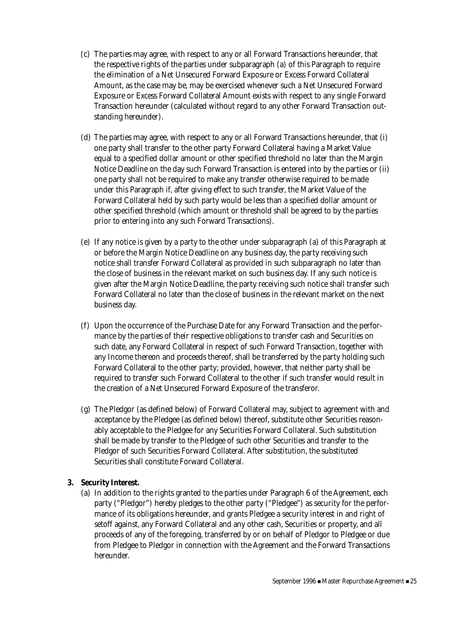- (c) The parties may agree, with respect to any or all Forward Transactions hereunder, that the respective rights of the parties under subparagraph (a) of this Paragraph to require the elimination of a Net Unsecured Forward Exposure or Excess Forward Collateral Amount, as the case may be, may be exercised whenever such a Net Unsecured Forward Exposure or Excess Forward Collateral Amount exists with respect to any single Forward Transaction hereunder (calculated without regard to any other Forward Transaction outstanding hereunder).
- (d) The parties may agree, with respect to any or all Forward Transactions hereunder, that (i) one party shall transfer to the other party Forward Collateral having a Market Value equal to a specified dollar amount or other specified threshold no later than the Margin Notice Deadline on the day such Forward Transaction is entered into by the parties or (ii) one party shall not be required to make any transfer otherwise required to be made under this Paragraph if, after giving effect to such transfer, the Market Value of the Forward Collateral held by such party would be less than a specified dollar amount or other specified threshold (which amount or threshold shall be agreed to by the parties prior to entering into any such Forward Transactions).
- (e) If any notice is given by a party to the other under subparagraph (a) of this Paragraph at or before the Margin Notice Deadline on any business day, the party receiving such notice shall transfer Forward Collateral as provided in such subparagraph no later than the close of business in the relevant market on such business day. If any such notice is given after the Margin Notice Deadline, the party receiving such notice shall transfer such Forward Collateral no later than the close of business in the relevant market on the next business day.
- (f) Upon the occurrence of the Purchase Date for any Forward Transaction and the performance by the parties of their respective obligations to transfer cash and Securities on such date, any Forward Collateral in respect of such Forward Transaction, together with any Income thereon and proceeds thereof, shall be transferred by the party holding such Forward Collateral to the other party; provided, however, that neither party shall be required to transfer such Forward Collateral to the other if such transfer would result in the creation of a Net Unsecured Forward Exposure of the transferor.
- (g) The Pledgor (as defined below) of Forward Collateral may, subject to agreement with and acceptance by the Pledgee (as defined below) thereof, substitute other Securities reasonably acceptable to the Pledgee for any Securities Forward Collateral. Such substitution shall be made by transfer to the Pledgee of such other Securities and transfer to the Pledgor of such Securities Forward Collateral. After substitution, the substituted Securities shall constitute Forward Collateral.

## **3. Security Interest.**

(a) In addition to the rights granted to the parties under Paragraph 6 of the Agreement, each party ("Pledgor") hereby pledges to the other party ("Pledgee") as security for the performance of its obligations hereunder, and grants Pledgee a security interest in and right of setoff against, any Forward Collateral and any other cash, Securities or property, and all proceeds of any of the foregoing, transferred by or on behalf of Pledgor to Pledgee or due from Pledgee to Pledgor in connection with the Agreement and the Forward Transactions hereunder.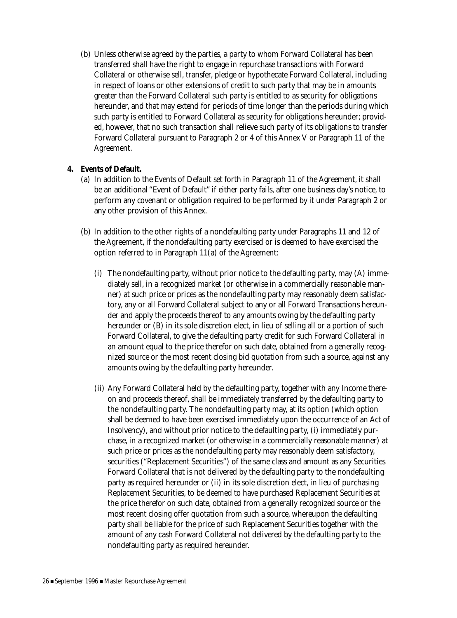(b) Unless otherwise agreed by the parties, a party to whom Forward Collateral has been transferred shall have the right to engage in repurchase transactions with Forward Collateral or otherwise sell, transfer, pledge or hypothecate Forward Collateral, including in respect of loans or other extensions of credit to such party that may be in amounts greater than the Forward Collateral such party is entitled to as security for obligations hereunder, and that may extend for periods of time longer than the periods during which such party is entitled to Forward Collateral as security for obligations hereunder; provided, however, that no such transaction shall relieve such party of its obligations to transfer Forward Collateral pursuant to Paragraph 2 or 4 of this Annex V or Paragraph 11 of the Agreement.

#### **4. Events of Default.**

- (a) In addition to the Events of Default set forth in Paragraph 11 of the Agreement, it shall be an additional "Event of Default" if either party fails, after one business day's notice, to perform any covenant or obligation required to be performed by it under Paragraph 2 or any other provision of this Annex.
- (b) In addition to the other rights of a nondefaulting party under Paragraphs 11 and 12 of the Agreement, if the nondefaulting party exercised or is deemed to have exercised the option referred to in Paragraph 11(a) of the Agreement:
	- (i) The nondefaulting party, without prior notice to the defaulting party, may (A) immediately sell, in a recognized market (or otherwise in a commercially reasonable manner) at such price or prices as the nondefaulting party may reasonably deem satisfactory, any or all Forward Collateral subject to any or all Forward Transactions hereunder and apply the proceeds thereof to any amounts owing by the defaulting party hereunder or (B) in its sole discretion elect, in lieu of selling all or a portion of such Forward Collateral, to give the defaulting party credit for such Forward Collateral in an amount equal to the price therefor on such date, obtained from a generally recognized source or the most recent closing bid quotation from such a source, against any amounts owing by the defaulting party hereunder.
	- (ii) Any Forward Collateral held by the defaulting party, together with any Income thereon and proceeds thereof, shall be immediately transferred by the defaulting party to the nondefaulting party. The nondefaulting party may, at its option (which option shall be deemed to have been exercised immediately upon the occurrence of an Act of Insolvency), and without prior notice to the defaulting party, (i) immediately purchase, in a recognized market (or otherwise in a commercially reasonable manner) at such price or prices as the nondefaulting party may reasonably deem satisfactory, securities ("Replacement Securities") of the same class and amount as any Securities Forward Collateral that is not delivered by the defaulting party to the nondefaulting party as required hereunder or (ii) in its sole discretion elect, in lieu of purchasing Replacement Securities, to be deemed to have purchased Replacement Securities at the price therefor on such date, obtained from a generally recognized source or the most recent closing offer quotation from such a source, whereupon the defaulting party shall be liable for the price of such Replacement Securities together with the amount of any cash Forward Collateral not delivered by the defaulting party to the nondefaulting party as required hereunder.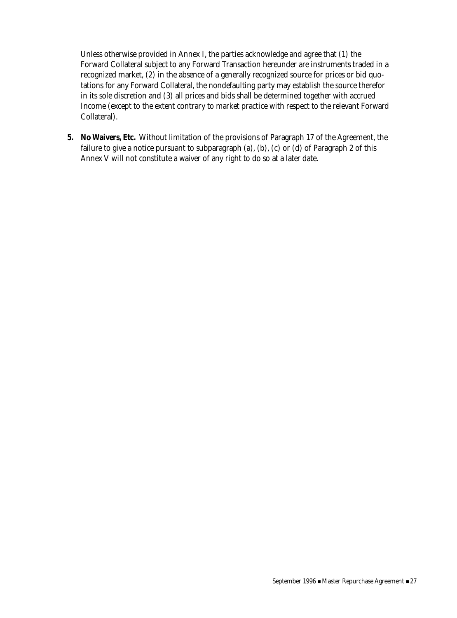Unless otherwise provided in Annex I, the parties acknowledge and agree that (1) the Forward Collateral subject to any Forward Transaction hereunder are instruments traded in a recognized market, (2) in the absence of a generally recognized source for prices or bid quotations for any Forward Collateral, the nondefaulting party may establish the source therefor in its sole discretion and (3) all prices and bids shall be determined together with accrued Income (except to the extent contrary to market practice with respect to the relevant Forward Collateral).

**5. No Waivers, Etc.** Without limitation of the provisions of Paragraph 17 of the Agreement, the failure to give a notice pursuant to subparagraph (a), (b), (c) or (d) of Paragraph 2 of this Annex V will not constitute a waiver of any right to do so at a later date.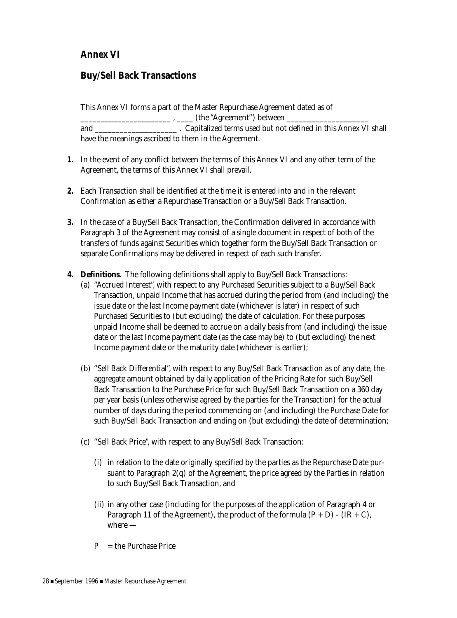# **Annex VI**

# **Buy/Sell Back Transactions**

This Annex VI forms a part of the Master Repurchase Agreement dated as of \_\_\_\_\_\_\_\_\_\_\_\_\_\_\_\_\_\_\_\_\_\_ , \_\_\_\_ (the "Agreement") between \_\_\_\_\_\_\_\_\_\_\_\_\_\_\_\_\_\_\_\_ Land . Capitalized terms used but not defined in this Annex VI shall have the meanings ascribed to them in the Agreement.

- **1.** In the event of any conflict between the terms of this Annex VI and any other term of the Agreement, the terms of this Annex VI shall prevail.
- **2.** Each Transaction shall be identified at the time it is entered into and in the relevant Confirmation as either a Repurchase Transaction or a Buy/Sell Back Transaction.
- **3.** In the case of a Buy/Sell Back Transaction, the Confirmation delivered in accordance with Paragraph 3 of the Agreement may consist of a single document in respect of both of the transfers of funds against Securities which together form the Buy/Sell Back Transaction or separate Confirmations may be delivered in respect of each such transfer.
- **4. Definitions.** The following definitions shall apply to Buy/Sell Back Transactions:
	- (a) "Accrued Interest", with respect to any Purchased Securities subject to a Buy/Sell Back Transaction, unpaid Income that has accrued during the period from (and including) the issue date or the last Income payment date (whichever is later) in respect of such Purchased Securities to (but excluding) the date of calculation. For these purposes unpaid Income shall be deemed to accrue on a daily basis from (and including) the issue date or the last Income payment date (as the case may be) to (but excluding) the next Income payment date or the maturity date (whichever is earlier);
	- (b) "Sell Back Differential", with respect to any Buy/Sell Back Transaction as of any date, the aggregate amount obtained by daily application of the Pricing Rate for such Buy/Sell Back Transaction to the Purchase Price for such Buy/Sell Back Transaction on a 360 day per year basis (unless otherwise agreed by the parties for the Transaction) for the actual number of days during the period commencing on (and including) the Purchase Date for such Buy/Sell Back Transaction and ending on (but excluding) the date of determination;
	- (c) "Sell Back Price", with respect to any Buy/Sell Back Transaction:
		- (i) in relation to the date originally specified by the parties as the Repurchase Date pursuant to Paragraph 2(q) of the Agreement, the price agreed by the Parties in relation to such Buy/Sell Back Transaction, and
		- (ii) in any other case (including for the purposes of the application of Paragraph 4 or Paragraph 11 of the Agreement), the product of the formula  $(P + D) - (IR + C)$ , where —
		- $P =$  the Purchase Price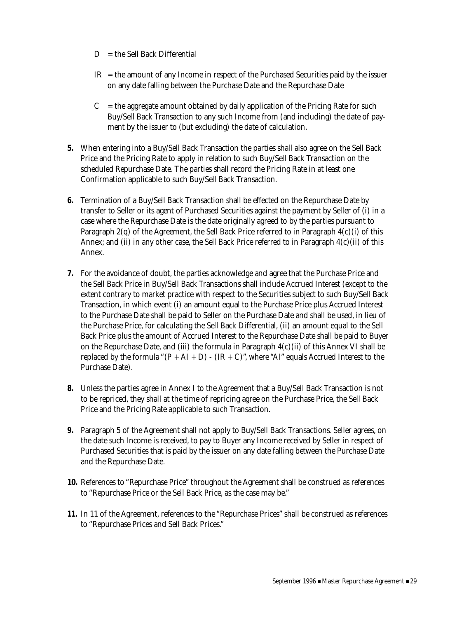- $D =$  the Sell Back Differential
- $IR =$  the amount of any Income in respect of the Purchased Securities paid by the issuer on any date falling between the Purchase Date and the Repurchase Date
- $C =$  the aggregate amount obtained by daily application of the Pricing Rate for such Buy/Sell Back Transaction to any such Income from (and including) the date of payment by the issuer to (but excluding) the date of calculation.
- **5.** When entering into a Buy/Sell Back Transaction the parties shall also agree on the Sell Back Price and the Pricing Rate to apply in relation to such Buy/Sell Back Transaction on the scheduled Repurchase Date. The parties shall record the Pricing Rate in at least one Confirmation applicable to such Buy/Sell Back Transaction.
- **6.** Termination of a Buy/Sell Back Transaction shall be effected on the Repurchase Date by transfer to Seller or its agent of Purchased Securities against the payment by Seller of (i) in a case where the Repurchase Date is the date originally agreed to by the parties pursuant to Paragraph 2(q) of the Agreement, the Sell Back Price referred to in Paragraph 4(c)(i) of this Annex; and (ii) in any other case, the Sell Back Price referred to in Paragraph  $4(c)$  (ii) of this Annex.
- **7.** For the avoidance of doubt, the parties acknowledge and agree that the Purchase Price and the Sell Back Price in Buy/Sell Back Transactions shall include Accrued Interest (except to the extent contrary to market practice with respect to the Securities subject to such Buy/Sell Back Transaction, in which event (i) an amount equal to the Purchase Price plus Accrued Interest to the Purchase Date shall be paid to Seller on the Purchase Date and shall be used, in lieu of the Purchase Price, for calculating the Sell Back Differential, (ii) an amount equal to the Sell Back Price plus the amount of Accrued Interest to the Repurchase Date shall be paid to Buyer on the Repurchase Date, and (iii) the formula in Paragraph 4(c)(ii) of this Annex VI shall be replaced by the formula " $(P + AI + D) - (IR + C)$ ", where "AI" equals Accrued Interest to the Purchase Date).
- **8.** Unless the parties agree in Annex I to the Agreement that a Buy/Sell Back Transaction is not to be repriced, they shall at the time of repricing agree on the Purchase Price, the Sell Back Price and the Pricing Rate applicable to such Transaction.
- **9.** Paragraph 5 of the Agreement shall not apply to Buy/Sell Back Transactions. Seller agrees, on the date such Income is received, to pay to Buyer any Income received by Seller in respect of Purchased Securities that is paid by the issuer on any date falling between the Purchase Date and the Repurchase Date.
- **10.** References to "Repurchase Price" throughout the Agreement shall be construed as references to "Repurchase Price or the Sell Back Price, as the case may be."
- **11.** In 11 of the Agreement, references to the "Repurchase Prices" shall be construed as references to "Repurchase Prices and Sell Back Prices."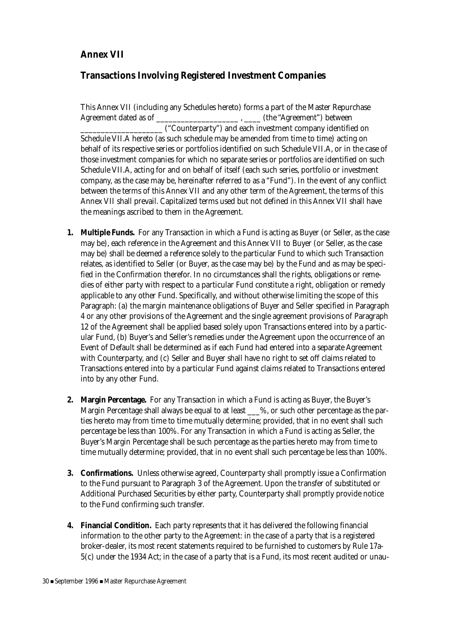# **Annex VII**

# **Transactions Involving Registered Investment Companies**

This Annex VII (including any Schedules hereto) forms a part of the Master Repurchase Agreement dated as of \_\_\_\_\_\_\_\_\_\_\_\_\_\_\_\_\_\_\_\_\_\_\_\_\_\_\_\_\_, \_\_\_\_\_ (the "Agreement") between \_\_\_\_\_\_\_\_\_\_\_\_\_\_\_\_\_\_\_\_ ("Counterparty") and each investment company identified on Schedule VII.A hereto (as such schedule may be amended from time to time) acting on behalf of its respective series or portfolios identified on such Schedule VII.A, or in the case of those investment companies for which no separate series or portfolios are identified on such Schedule VII.A, acting for and on behalf of itself (each such series, portfolio or investment company, as the case may be, hereinafter referred to as a "Fund"). In the event of any conflict between the terms of this Annex VII and any other term of the Agreement, the terms of this Annex VII shall prevail. Capitalized terms used but not defined in this Annex VII shall have the meanings ascribed to them in the Agreement.

- **1. Multiple Funds.** For any Transaction in which a Fund is acting as Buyer (or Seller, as the case may be), each reference in the Agreement and this Annex VII to Buyer (or Seller, as the case may be) shall be deemed a reference solely to the particular Fund to which such Transaction relates, as identified to Seller (or Buyer, as the case may be) by the Fund and as may be specified in the Confirmation therefor. In no circumstances shall the rights, obligations or remedies of either party with respect to a particular Fund constitute a right, obligation or remedy applicable to any other Fund. Specifically, and without otherwise limiting the scope of this Paragraph: (a) the margin maintenance obligations of Buyer and Seller specified in Paragraph 4 or any other provisions of the Agreement and the single agreement provisions of Paragraph 12 of the Agreement shall be applied based solely upon Transactions entered into by a particular Fund, (b) Buyer's and Seller's remedies under the Agreement upon the occurrence of an Event of Default shall be determined as if each Fund had entered into a separate Agreement with Counterparty, and (c) Seller and Buyer shall have no right to set off claims related to Transactions entered into by a particular Fund against claims related to Transactions entered into by any other Fund.
- **2. Margin Percentage.** For any Transaction in which a Fund is acting as Buyer, the Buyer's Margin Percentage shall always be equal to at least \_\_%, or such other percentage as the parties hereto may from time to time mutually determine; provided, that in no event shall such percentage be less than 100%. For any Transaction in which a Fund is acting as Seller, the Buyer's Margin Percentage shall be such percentage as the parties hereto may from time to time mutually determine; provided, that in no event shall such percentage be less than 100%.
- **3. Confirmations.** Unless otherwise agreed, Counterparty shall promptly issue a Confirmation to the Fund pursuant to Paragraph 3 of the Agreement. Upon the transfer of substituted or Additional Purchased Securities by either party, Counterparty shall promptly provide notice to the Fund confirming such transfer.
- **4. Financial Condition.** Each party represents that it has delivered the following financial information to the other party to the Agreement: in the case of a party that is a registered broker-dealer, its most recent statements required to be furnished to customers by Rule 17a-5(c) under the 1934 Act; in the case of a party that is a Fund, its most recent audited or unau-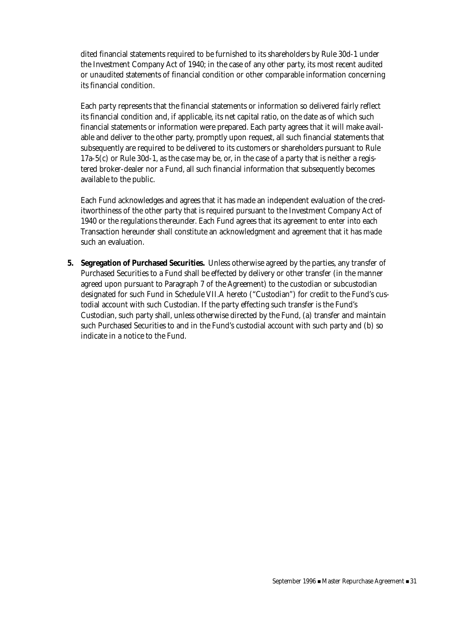dited financial statements required to be furnished to its shareholders by Rule 30d-1 under the Investment Company Act of 1940; in the case of any other party, its most recent audited or unaudited statements of financial condition or other comparable information concerning its financial condition.

Each party represents that the financial statements or information so delivered fairly reflect its financial condition and, if applicable, its net capital ratio, on the date as of which such financial statements or information were prepared. Each party agrees that it will make available and deliver to the other party, promptly upon request, all such financial statements that subsequently are required to be delivered to its customers or shareholders pursuant to Rule 17a-5(c) or Rule 30d-1, as the case may be, or, in the case of a party that is neither a registered broker-dealer nor a Fund, all such financial information that subsequently becomes available to the public.

Each Fund acknowledges and agrees that it has made an independent evaluation of the creditworthiness of the other party that is required pursuant to the Investment Company Act of 1940 or the regulations thereunder. Each Fund agrees that its agreement to enter into each Transaction hereunder shall constitute an acknowledgment and agreement that it has made such an evaluation.

**5. Segregation of Purchased Securities.** Unless otherwise agreed by the parties, any transfer of Purchased Securities to a Fund shall be effected by delivery or other transfer (in the manner agreed upon pursuant to Paragraph 7 of the Agreement) to the custodian or subcustodian designated for such Fund in Schedule VII.A hereto ("Custodian") for credit to the Fund's custodial account with such Custodian. If the party effecting such transfer is the Fund's Custodian, such party shall, unless otherwise directed by the Fund, (a) transfer and maintain such Purchased Securities to and in the Fund's custodial account with such party and (b) so indicate in a notice to the Fund.